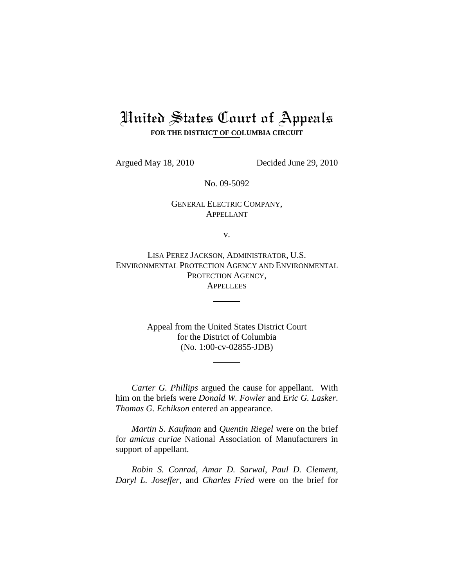# United States Court of Appeals **FOR THE DISTRICT OF COLUMBIA CIRCUIT**

Argued May 18, 2010 Decided June 29, 2010

No. 09-5092

## GENERAL ELECTRIC COMPANY, APPELLANT

v.

LISA PEREZ JACKSON, ADMINISTRATOR, U.S. ENVIRONMENTAL PROTECTION AGENCY AND ENVIRONMENTAL PROTECTION AGENCY, **APPELLEES** 

> Appeal from the United States District Court for the District of Columbia (No. 1:00-cv-02855-JDB)

*Carter G. Phillips* argued the cause for appellant. With him on the briefs were *Donald W. Fowler* and *Eric G. Lasker*. *Thomas G. Echikson* entered an appearance.

*Martin S. Kaufman* and *Quentin Riegel* were on the brief for *amicus curiae* National Association of Manufacturers in support of appellant.

*Robin S. Conrad*, *Amar D. Sarwal*, *Paul D. Clement*, *Daryl L. Joseffer*, and *Charles Fried* were on the brief for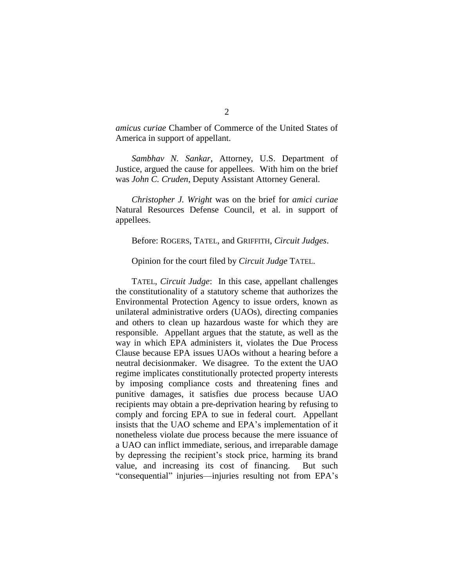*amicus curiae* Chamber of Commerce of the United States of America in support of appellant.

*Sambhav N. Sankar*, Attorney, U.S. Department of Justice, argued the cause for appellees. With him on the brief was *John C. Cruden*, Deputy Assistant Attorney General.

*Christopher J. Wright* was on the brief for *amici curiae* Natural Resources Defense Council, et al. in support of appellees.

Before: ROGERS, TATEL, and GRIFFITH, *Circuit Judges*.

Opinion for the court filed by *Circuit Judge* TATEL.

TATEL, *Circuit Judge*: In this case, appellant challenges the constitutionality of a statutory scheme that authorizes the Environmental Protection Agency to issue orders, known as unilateral administrative orders (UAOs), directing companies and others to clean up hazardous waste for which they are responsible. Appellant argues that the statute, as well as the way in which EPA administers it, violates the Due Process Clause because EPA issues UAOs without a hearing before a neutral decisionmaker. We disagree. To the extent the UAO regime implicates constitutionally protected property interests by imposing compliance costs and threatening fines and punitive damages, it satisfies due process because UAO recipients may obtain a pre-deprivation hearing by refusing to comply and forcing EPA to sue in federal court. Appellant insists that the UAO scheme and EPA's implementation of it nonetheless violate due process because the mere issuance of a UAO can inflict immediate, serious, and irreparable damage by depressing the recipient's stock price, harming its brand value, and increasing its cost of financing. But such "consequential" injuries—injuries resulting not from EPA's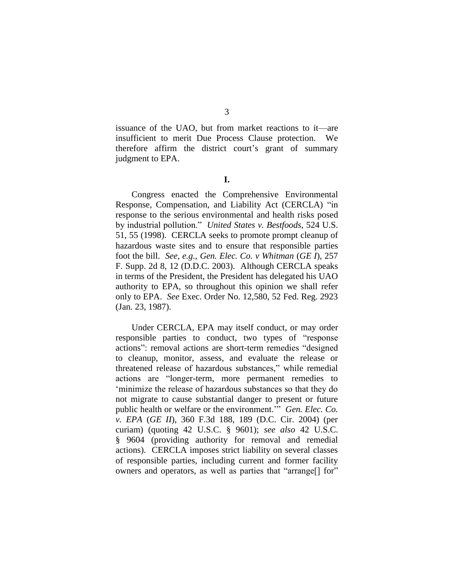issuance of the UAO, but from market reactions to it—are insufficient to merit Due Process Clause protection. We therefore affirm the district court's grant of summary judgment to EPA.

**I.**

Congress enacted the Comprehensive Environmental Response, Compensation, and Liability Act (CERCLA) "in response to the serious environmental and health risks posed by industrial pollution." *United States v. Bestfoods*, 524 U.S. 51, 55 (1998). CERCLA seeks to promote prompt cleanup of hazardous waste sites and to ensure that responsible parties foot the bill. *See, e.g.*, *Gen. Elec. Co. v Whitman* (*GE I*), 257 F. Supp. 2d 8, 12 (D.D.C. 2003). Although CERCLA speaks in terms of the President, the President has delegated his UAO authority to EPA, so throughout this opinion we shall refer only to EPA. *See* Exec. Order No. 12,580, 52 Fed. Reg. 2923 (Jan. 23, 1987).

Under CERCLA, EPA may itself conduct, or may order responsible parties to conduct, two types of "response" actions": removal actions are short-term remedies "designed" to cleanup, monitor, assess, and evaluate the release or threatened release of hazardous substances," while remedial actions are "longer-term, more permanent remedies to ‗minimize the release of hazardous substances so that they do not migrate to cause substantial danger to present or future public health or welfare or the environment." *Gen. Elec. Co. v. EPA* (*GE II*), 360 F.3d 188, 189 (D.C. Cir. 2004) (per curiam) (quoting 42 U.S.C. § 9601); *see also* 42 U.S.C. § 9604 (providing authority for removal and remedial actions). CERCLA imposes strict liability on several classes of responsible parties, including current and former facility owners and operators, as well as parties that "arrange<sup>[]</sup> for"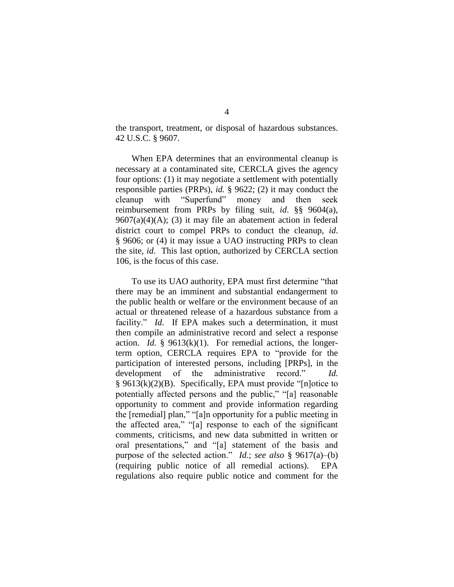the transport, treatment, or disposal of hazardous substances. 42 U.S.C. § 9607.

When EPA determines that an environmental cleanup is necessary at a contaminated site, CERCLA gives the agency four options: (1) it may negotiate a settlement with potentially responsible parties (PRPs), *id.* § 9622; (2) it may conduct the cleanup with "Superfund" money and then seek reimbursement from PRPs by filing suit, *id*. §§ 9604(a),  $9607(a)(4)(A);$  (3) it may file an abatement action in federal district court to compel PRPs to conduct the cleanup, *id*. § 9606; or (4) it may issue a UAO instructing PRPs to clean the site, *id*. This last option, authorized by CERCLA section 106, is the focus of this case.

To use its UAO authority, EPA must first determine "that there may be an imminent and substantial endangerment to the public health or welfare or the environment because of an actual or threatened release of a hazardous substance from a facility." *Id.* If EPA makes such a determination, it must then compile an administrative record and select a response action. *Id.* § 9613(k)(1). For remedial actions, the longerterm option, CERCLA requires EPA to "provide for the participation of interested persons, including [PRPs], in the development of the administrative record." Id.  $§$  9613(k)(2)(B). Specifically, EPA must provide "[n]otice to potentially affected persons and the public," "[a] reasonable opportunity to comment and provide information regarding the [remedial] plan," "[a]n opportunity for a public meeting in the affected area," "[a] response to each of the significant comments, criticisms, and new data submitted in written or oral presentations," and "[a] statement of the basis and purpose of the selected action." *Id.*; *see also* § 9617(a)–(b) (requiring public notice of all remedial actions). EPA regulations also require public notice and comment for the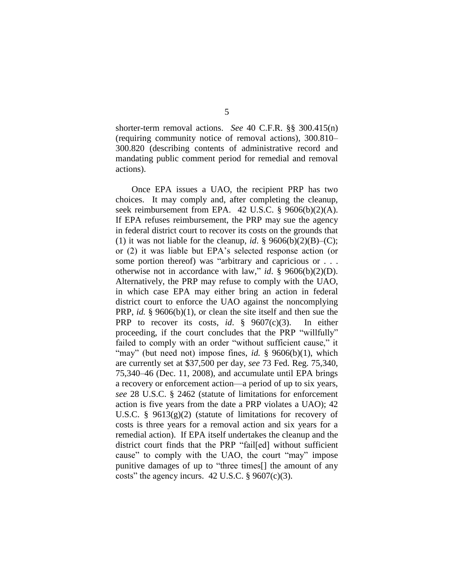shorter-term removal actions. *See* 40 C.F.R. §§ 300.415(n) (requiring community notice of removal actions), 300.810– 300.820 (describing contents of administrative record and mandating public comment period for remedial and removal actions).

Once EPA issues a UAO, the recipient PRP has two choices. It may comply and, after completing the cleanup, seek reimbursement from EPA. 42 U.S.C. § 9606(b)(2)(A). If EPA refuses reimbursement, the PRP may sue the agency in federal district court to recover its costs on the grounds that (1) it was not liable for the cleanup, *id*. §  $9606(b)(2)(B)$ –(C); or (2) it was liable but EPA's selected response action (or some portion thereof) was "arbitrary and capricious or  $\ldots$ otherwise not in accordance with law," *id.* §  $9606(b)(2)(D)$ . Alternatively, the PRP may refuse to comply with the UAO, in which case EPA may either bring an action in federal district court to enforce the UAO against the noncomplying PRP, *id.* § 9606(b)(1), or clean the site itself and then sue the PRP to recover its costs, *id*. § 9607(c)(3). In either proceeding, if the court concludes that the PRP "willfully" failed to comply with an order "without sufficient cause," it "may" (but need not) impose fines, *id.* § 9606(b)(1), which are currently set at \$37,500 per day, *see* 73 Fed. Reg. 75,340, 75,340–46 (Dec. 11, 2008), and accumulate until EPA brings a recovery or enforcement action—a period of up to six years, *see* 28 U.S.C. § 2462 (statute of limitations for enforcement action is five years from the date a PRP violates a UAO); 42 U.S.C. §  $9613(g)(2)$  (statute of limitations for recovery of costs is three years for a removal action and six years for a remedial action). If EPA itself undertakes the cleanup and the district court finds that the PRP "fail[ed] without sufficient cause" to comply with the UAO, the court "may" impose punitive damages of up to "three times<sup>[]</sup> the amount of any costs" the agency incurs.  $42$  U.S.C. § 9607(c)(3).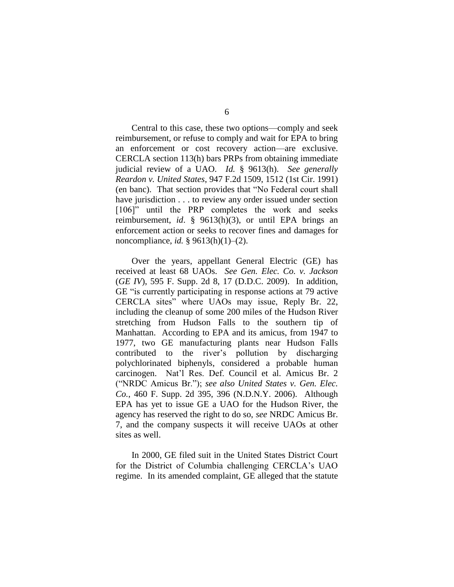Central to this case, these two options—comply and seek reimbursement, or refuse to comply and wait for EPA to bring an enforcement or cost recovery action—are exclusive. CERCLA section 113(h) bars PRPs from obtaining immediate judicial review of a UAO. *Id.* § 9613(h). *See generally Reardon v. United States*, 947 F.2d 1509, 1512 (1st Cir. 1991) (en banc). That section provides that "No Federal court shall have jurisdiction . . . to review any order issued under section [106]" until the PRP completes the work and seeks reimbursement, *id*. § 9613(h)(3), or until EPA brings an enforcement action or seeks to recover fines and damages for noncompliance, *id.* § 9613(h)(1)–(2).

Over the years, appellant General Electric (GE) has received at least 68 UAOs. *See Gen. Elec. Co. v. Jackson* (*GE IV*), 595 F. Supp. 2d 8, 17 (D.D.C. 2009). In addition, GE "is currently participating in response actions at 79 active CERCLA sites" where UAOs may issue, Reply Br. 22, including the cleanup of some 200 miles of the Hudson River stretching from Hudson Falls to the southern tip of Manhattan. According to EPA and its amicus, from 1947 to 1977, two GE manufacturing plants near Hudson Falls contributed to the river's pollution by discharging polychlorinated biphenyls, considered a probable human carcinogen. Nat'l Res. Def. Council et al. Amicus Br. 2 (―NRDC Amicus Br.‖); *see also United States v. Gen. Elec. Co.*, 460 F. Supp. 2d 395, 396 (N.D.N.Y. 2006). Although EPA has yet to issue GE a UAO for the Hudson River, the agency has reserved the right to do so, *see* NRDC Amicus Br. 7, and the company suspects it will receive UAOs at other sites as well.

In 2000, GE filed suit in the United States District Court for the District of Columbia challenging CERCLA's UAO regime. In its amended complaint, GE alleged that the statute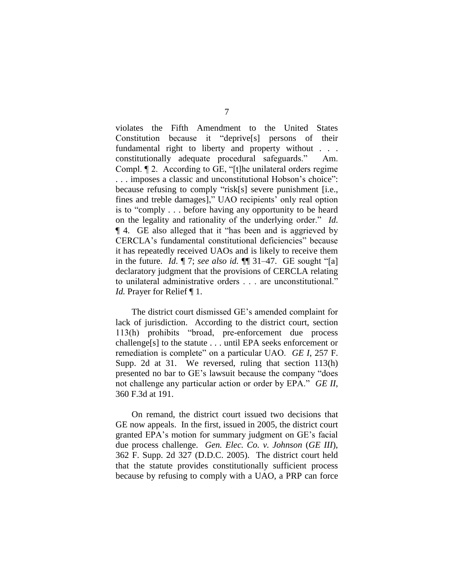violates the Fifth Amendment to the United States Constitution because it "deprive<sup>[s]</sup> persons of their fundamental right to liberty and property without . . . constitutionally adequate procedural safeguards." Am. Compl.  $\P$  2. According to GE, "[t]he unilateral orders regime ... imposes a classic and unconstitutional Hobson's choice": because refusing to comply "risk[s] severe punishment [i.e., fines and treble damages]," UAO recipients' only real option is to "comply  $\ldots$  before having any opportunity to be heard on the legality and rationality of the underlying order." *Id*. **T** 4. GE also alleged that it "has been and is aggrieved by CERCLA's fundamental constitutional deficiencies" because it has repeatedly received UAOs and is likely to receive them in the future. *Id.*  $\P$  7; *see also id.*  $\P$  $\P$  31–47. GE sought "[a] declaratory judgment that the provisions of CERCLA relating to unilateral administrative orders . . . are unconstitutional." *Id.* Prayer for Relief  $\P$  1.

The district court dismissed GE's amended complaint for lack of jurisdiction. According to the district court, section 113(h) prohibits "broad, pre-enforcement due process challenge[s] to the statute . . . until EPA seeks enforcement or remediation is complete" on a particular UAO. *GE I*, 257 F. Supp. 2d at 31. We reversed, ruling that section 113(h) presented no bar to GE's lawsuit because the company "does" not challenge any particular action or order by EPA." *GE II*, 360 F.3d at 191.

On remand, the district court issued two decisions that GE now appeals. In the first, issued in 2005, the district court granted EPA's motion for summary judgment on GE's facial due process challenge. *Gen. Elec. Co. v. Johnson* (*GE III*), 362 F. Supp. 2d 327 (D.D.C. 2005). The district court held that the statute provides constitutionally sufficient process because by refusing to comply with a UAO, a PRP can force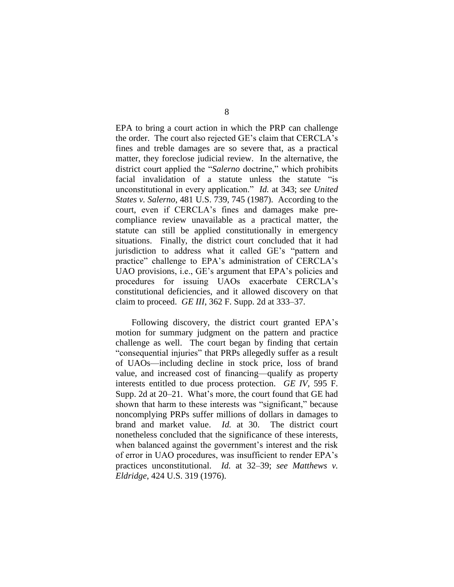EPA to bring a court action in which the PRP can challenge the order. The court also rejected GE's claim that CERCLA's fines and treble damages are so severe that, as a practical matter, they foreclose judicial review. In the alternative, the district court applied the "*Salerno* doctrine," which prohibits facial invalidation of a statute unless the statute "is unconstitutional in every application.‖ *Id.* at 343; *see United States v. Salerno*, 481 U.S. 739, 745 (1987). According to the court, even if CERCLA's fines and damages make precompliance review unavailable as a practical matter, the statute can still be applied constitutionally in emergency situations. Finally, the district court concluded that it had jurisdiction to address what it called GE's "pattern and practice" challenge to EPA's administration of CERCLA's UAO provisions, i.e., GE's argument that EPA's policies and procedures for issuing UAOs exacerbate CERCLA's constitutional deficiencies, and it allowed discovery on that claim to proceed. *GE III*, 362 F. Supp. 2d at 333–37.

Following discovery, the district court granted EPA's motion for summary judgment on the pattern and practice challenge as well. The court began by finding that certain "consequential injuries" that PRPs allegedly suffer as a result of UAOs—including decline in stock price, loss of brand value, and increased cost of financing—qualify as property interests entitled to due process protection. *GE IV*, 595 F. Supp. 2d at 20–21. What's more, the court found that GE had shown that harm to these interests was "significant," because noncomplying PRPs suffer millions of dollars in damages to brand and market value. *Id.* at 30. The district court nonetheless concluded that the significance of these interests, when balanced against the government's interest and the risk of error in UAO procedures, was insufficient to render EPA's practices unconstitutional. *Id.* at 32–39; *see Matthews v. Eldridge*, 424 U.S. 319 (1976).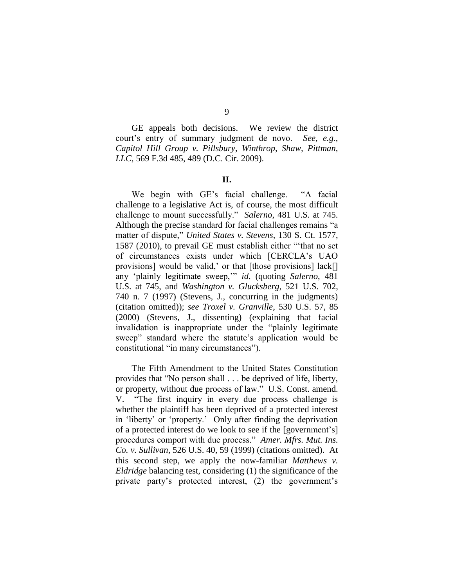9

GE appeals both decisions. We review the district court's entry of summary judgment de novo. *See, e.g.*, *Capitol Hill Group v. Pillsbury, Winthrop, Shaw, Pittman, LLC*, 569 F.3d 485, 489 (D.C. Cir. 2009).

### **II.**

We begin with GE's facial challenge. "A facial challenge to a legislative Act is, of course, the most difficult challenge to mount successfully." Salerno, 481 U.S. at 745. Although the precise standard for facial challenges remains "a matter of dispute," *United States v. Stevens*, 130 S. Ct. 1577, 1587 (2010), to prevail GE must establish either "that no set of circumstances exists under which [CERCLA's UAO provisions] would be valid,' or that [those provisions] lack[] any 'plainly legitimate sweep," *id.* (quoting *Salerno*, 481 U.S. at 745, and *Washington v. Glucksberg*, 521 U.S. 702, 740 n. 7 (1997) (Stevens, J., concurring in the judgments) (citation omitted)); *see Troxel v. Granville*, 530 U.S. 57, 85 (2000) (Stevens, J., dissenting) (explaining that facial invalidation is inappropriate under the "plainly legitimate" sweep" standard where the statute's application would be constitutional "in many circumstances").

The Fifth Amendment to the United States Constitution provides that "No person shall . . . be deprived of life, liberty, or property, without due process of law." U.S. Const. amend. V. "The first inquiry in every due process challenge is whether the plaintiff has been deprived of a protected interest in 'liberty' or 'property.' Only after finding the deprivation of a protected interest do we look to see if the [government's] procedures comport with due process." Amer. Mfrs. Mut. Ins. *Co. v. Sullivan*, 526 U.S. 40, 59 (1999) (citations omitted). At this second step, we apply the now-familiar *Matthews v. Eldridge* balancing test, considering (1) the significance of the private party's protected interest, (2) the government's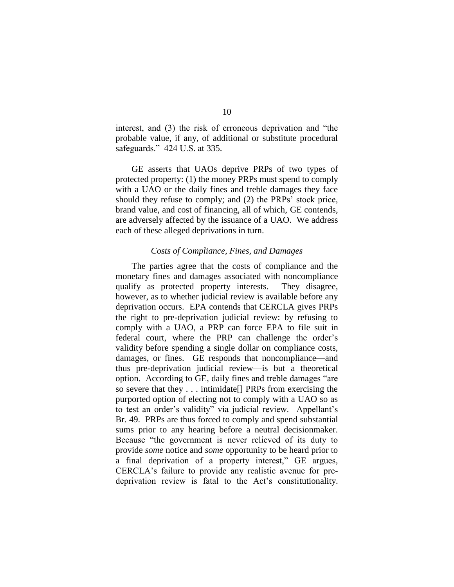interest, and  $(3)$  the risk of erroneous deprivation and "the probable value, if any, of additional or substitute procedural safeguards." 424 U.S. at 335.

GE asserts that UAOs deprive PRPs of two types of protected property: (1) the money PRPs must spend to comply with a UAO or the daily fines and treble damages they face should they refuse to comply; and (2) the PRPs' stock price, brand value, and cost of financing, all of which, GE contends, are adversely affected by the issuance of a UAO. We address each of these alleged deprivations in turn.

### *Costs of Compliance, Fines, and Damages*

The parties agree that the costs of compliance and the monetary fines and damages associated with noncompliance qualify as protected property interests. They disagree, however, as to whether judicial review is available before any deprivation occurs. EPA contends that CERCLA gives PRPs the right to pre-deprivation judicial review: by refusing to comply with a UAO, a PRP can force EPA to file suit in federal court, where the PRP can challenge the order's validity before spending a single dollar on compliance costs, damages, or fines. GE responds that noncompliance—and thus pre-deprivation judicial review—is but a theoretical option. According to GE, daily fines and treble damages "are so severe that they . . . intimidate[] PRPs from exercising the purported option of electing not to comply with a UAO so as to test an order's validity" via judicial review. Appellant's Br. 49. PRPs are thus forced to comply and spend substantial sums prior to any hearing before a neutral decisionmaker. Because "the government is never relieved of its duty to provide *some* notice and *some* opportunity to be heard prior to a final deprivation of a property interest," GE argues, CERCLA's failure to provide any realistic avenue for predeprivation review is fatal to the Act's constitutionality.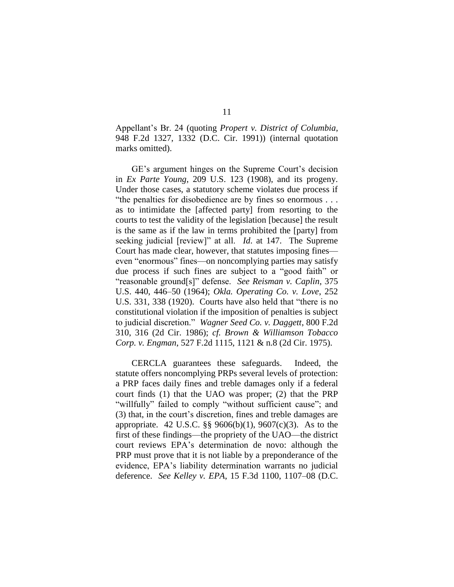Appellant's Br. 24 (quoting *Propert v. District of Columbia*, 948 F.2d 1327, 1332 (D.C. Cir. 1991)) (internal quotation marks omitted).

GE's argument hinges on the Supreme Court's decision in *Ex Parte Young*, 209 U.S. 123 (1908), and its progeny. Under those cases, a statutory scheme violates due process if "the penalties for disobedience are by fines so enormous  $\dots$ as to intimidate the [affected party] from resorting to the courts to test the validity of the legislation [because] the result is the same as if the law in terms prohibited the [party] from seeking judicial [review]" at all. *Id.* at 147. The Supreme Court has made clear, however, that statutes imposing fines even "enormous" fines—on noncomplying parties may satisfy due process if such fines are subject to a "good faith" or ―reasonable ground[s]‖ defense. *See Reisman v. Caplin*, 375 U.S. 440, 446–50 (1964); *Okla. Operating Co. v. Love*, 252 U.S. 331, 338 (1920). Courts have also held that "there is no constitutional violation if the imposition of penalties is subject to judicial discretion.‖ *Wagner Seed Co. v. Daggett*, 800 F.2d 310, 316 (2d Cir. 1986); *cf. Brown & Williamson Tobacco Corp. v. Engman*, 527 F.2d 1115, 1121 & n.8 (2d Cir. 1975).

CERCLA guarantees these safeguards. Indeed, the statute offers noncomplying PRPs several levels of protection: a PRP faces daily fines and treble damages only if a federal court finds (1) that the UAO was proper; (2) that the PRP "willfully" failed to comply "without sufficient cause"; and (3) that, in the court's discretion, fines and treble damages are appropriate. 42 U.S.C. §§ 9606(b)(1), 9607(c)(3). As to the first of these findings—the propriety of the UAO—the district court reviews EPA's determination de novo: although the PRP must prove that it is not liable by a preponderance of the evidence, EPA's liability determination warrants no judicial deference. *See Kelley v. EPA*, 15 F.3d 1100, 1107–08 (D.C.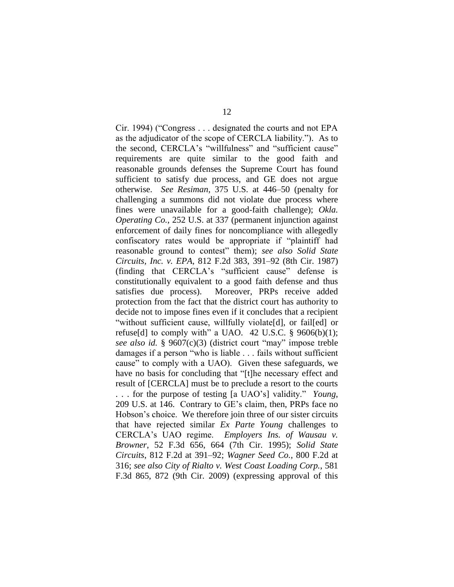Cir. 1994) ("Congress . . . designated the courts and not EPA as the adjudicator of the scope of CERCLA liability."). As to the second, CERCLA's "willfulness" and "sufficient cause" requirements are quite similar to the good faith and reasonable grounds defenses the Supreme Court has found sufficient to satisfy due process, and GE does not argue otherwise. *See Resiman*, 375 U.S. at 446–50 (penalty for challenging a summons did not violate due process where fines were unavailable for a good-faith challenge); *Okla. Operating Co.*, 252 U.S. at 337 (permanent injunction against enforcement of daily fines for noncompliance with allegedly confiscatory rates would be appropriate if "plaintiff had reasonable ground to contest" them); *see also Solid State Circuits, Inc. v. EPA*, 812 F.2d 383, 391–92 (8th Cir. 1987) (finding that CERCLA's "sufficient cause" defense is constitutionally equivalent to a good faith defense and thus satisfies due process). Moreover, PRPs receive added protection from the fact that the district court has authority to decide not to impose fines even if it concludes that a recipient "without sufficient cause, willfully violate[d], or fail[ed] or refuse[d] to comply with" a UAO. 42 U.S.C. §  $9606(b)(1)$ ; *see also id.* § 9607(c)(3) (district court "may" impose treble damages if a person "who is liable . . . fails without sufficient cause" to comply with a UAO). Given these safeguards, we have no basis for concluding that "[t]he necessary effect and result of [CERCLA] must be to preclude a resort to the courts ... for the purpose of testing [a UAO's] validity." *Young*, 209 U.S. at 146. Contrary to GE's claim, then, PRPs face no Hobson's choice. We therefore join three of our sister circuits that have rejected similar *Ex Parte Young* challenges to CERCLA's UAO regime. *Employers Ins. of Wausau v. Browner*, 52 F.3d 656, 664 (7th Cir. 1995); *Solid State Circuits*, 812 F.2d at 391–92; *Wagner Seed Co.*, 800 F.2d at 316; *see also City of Rialto v. West Coast Loading Corp.*, 581 F.3d 865, 872 (9th Cir. 2009) (expressing approval of this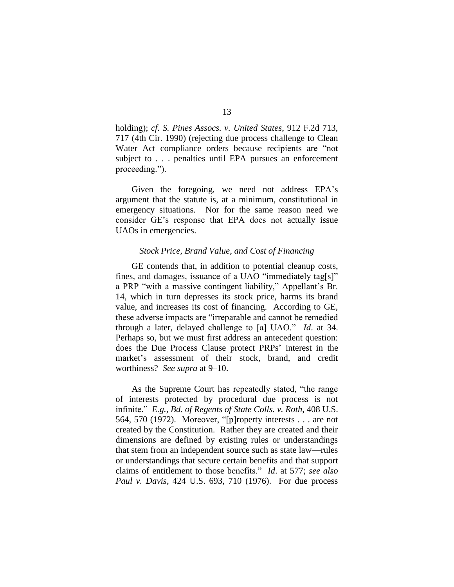holding); *cf. S. Pines Assocs. v. United States*, 912 F.2d 713, 717 (4th Cir. 1990) (rejecting due process challenge to Clean Water Act compliance orders because recipients are "not subject to . . . penalties until EPA pursues an enforcement proceeding.").

Given the foregoing, we need not address EPA's argument that the statute is, at a minimum, constitutional in emergency situations. Nor for the same reason need we consider GE's response that EPA does not actually issue UAOs in emergencies.

### *Stock Price, Brand Value, and Cost of Financing*

GE contends that, in addition to potential cleanup costs, fines, and damages, issuance of a UAO "immediately tag[s]" a PRP "with a massive contingent liability," Appellant's Br. 14, which in turn depresses its stock price, harms its brand value, and increases its cost of financing. According to GE, these adverse impacts are "irreparable and cannot be remedied through a later, delayed challenge to [a] UAO." *Id.* at 34. Perhaps so, but we must first address an antecedent question: does the Due Process Clause protect PRPs' interest in the market's assessment of their stock, brand, and credit worthiness? *See supra* at 9–10.

As the Supreme Court has repeatedly stated, "the range of interests protected by procedural due process is not infinite.‖ *E.g.*, *Bd. of Regents of State Colls. v. Roth*, 408 U.S. 564, 570 (1972). Moreover, "[p]roperty interests  $\dots$  are not created by the Constitution. Rather they are created and their dimensions are defined by existing rules or understandings that stem from an independent source such as state law—rules or understandings that secure certain benefits and that support claims of entitlement to those benefits.‖ *Id*. at 577; *see also Paul v. Davis*, 424 U.S. 693, 710 (1976). For due process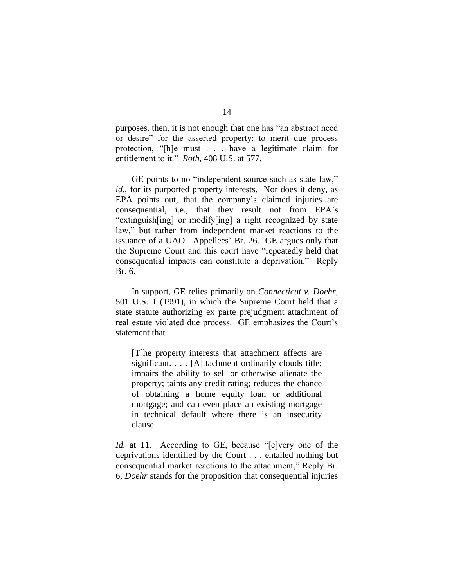purposes, then, it is not enough that one has "an abstract need or desire" for the asserted property; to merit due process protection, "[h]e must . . . have a legitimate claim for entitlement to it." *Roth*, 408 U.S. at 577.

GE points to no "independent source such as state law," *id.*, for its purported property interests. Nor does it deny, as EPA points out, that the company's claimed injuries are consequential, i.e., that they result not from EPA's "extinguish[ing] or modify[ing] a right recognized by state law," but rather from independent market reactions to the issuance of a UAO. Appellees' Br. 26. GE argues only that the Supreme Court and this court have "repeatedly held that consequential impacts can constitute a deprivation." Reply Br. 6.

In support, GE relies primarily on *Connecticut v. Doehr*, 501 U.S. 1 (1991), in which the Supreme Court held that a state statute authorizing ex parte prejudgment attachment of real estate violated due process. GE emphasizes the Court's statement that

[T]he property interests that attachment affects are significant. . . . [A]ttachment ordinarily clouds title; impairs the ability to sell or otherwise alienate the property; taints any credit rating; reduces the chance of obtaining a home equity loan or additional mortgage; and can even place an existing mortgage in technical default where there is an insecurity clause.

*Id.* at 11. According to GE, because "[e]very one of the deprivations identified by the Court . . . entailed nothing but consequential market reactions to the attachment," Reply Br. 6, *Doehr* stands for the proposition that consequential injuries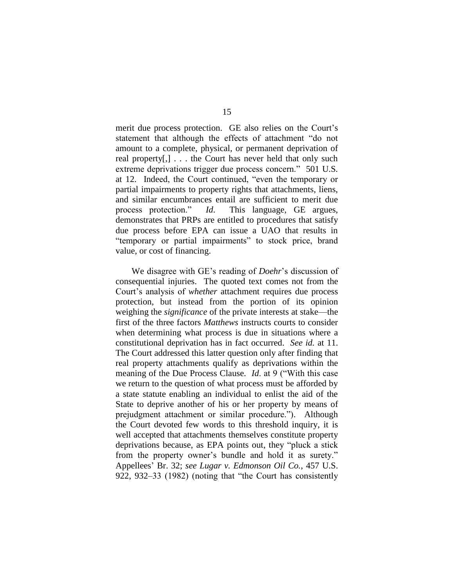merit due process protection. GE also relies on the Court's statement that although the effects of attachment "do not amount to a complete, physical, or permanent deprivation of real property[,] . . . the Court has never held that only such extreme deprivations trigger due process concern." 501 U.S. at 12. Indeed, the Court continued, "even the temporary or partial impairments to property rights that attachments, liens, and similar encumbrances entail are sufficient to merit due process protection." *Id*. This language, GE argues, demonstrates that PRPs are entitled to procedures that satisfy due process before EPA can issue a UAO that results in "temporary or partial impairments" to stock price, brand value, or cost of financing.

We disagree with GE's reading of *Doehr*'s discussion of consequential injuries. The quoted text comes not from the Court's analysis of *whether* attachment requires due process protection, but instead from the portion of its opinion weighing the *significance* of the private interests at stake—the first of the three factors *Matthews* instructs courts to consider when determining what process is due in situations where a constitutional deprivation has in fact occurred. *See id.* at 11. The Court addressed this latter question only after finding that real property attachments qualify as deprivations within the meaning of the Due Process Clause. *Id.* at 9 ("With this case we return to the question of what process must be afforded by a state statute enabling an individual to enlist the aid of the State to deprive another of his or her property by means of prejudgment attachment or similar procedure."). Although the Court devoted few words to this threshold inquiry, it is well accepted that attachments themselves constitute property deprivations because, as EPA points out, they "pluck a stick from the property owner's bundle and hold it as surety." Appellees' Br. 32; *see Lugar v. Edmonson Oil Co.*, 457 U.S.  $922, 932-33$  (1982) (noting that "the Court has consistently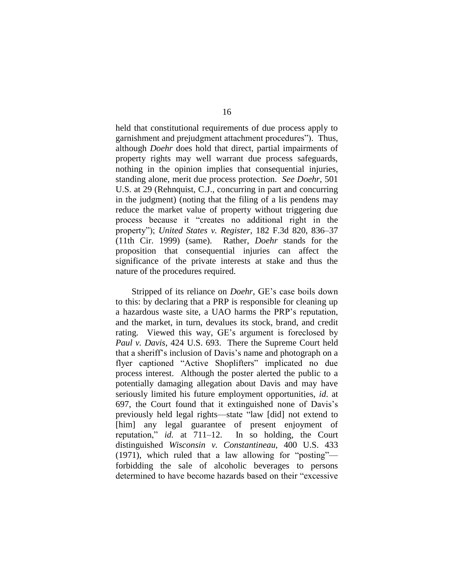held that constitutional requirements of due process apply to garnishment and prejudgment attachment procedures"). Thus, although *Doehr* does hold that direct, partial impairments of property rights may well warrant due process safeguards, nothing in the opinion implies that consequential injuries, standing alone, merit due process protection. *See Doehr*, 501 U.S. at 29 (Rehnquist, C.J., concurring in part and concurring in the judgment) (noting that the filing of a lis pendens may reduce the market value of property without triggering due process because it "creates no additional right in the property"); *United States v. Register*, 182 F.3d 820, 836–37 (11th Cir. 1999) (same). Rather, *Doehr* stands for the proposition that consequential injuries can affect the significance of the private interests at stake and thus the nature of the procedures required.

Stripped of its reliance on *Doehr*, GE's case boils down to this: by declaring that a PRP is responsible for cleaning up a hazardous waste site, a UAO harms the PRP's reputation, and the market, in turn, devalues its stock, brand, and credit rating. Viewed this way, GE's argument is foreclosed by *Paul v. Davis*, 424 U.S. 693. There the Supreme Court held that a sheriff's inclusion of Davis's name and photograph on a flyer captioned "Active Shoplifters" implicated no due process interest. Although the poster alerted the public to a potentially damaging allegation about Davis and may have seriously limited his future employment opportunities, *id*. at 697, the Court found that it extinguished none of Davis's previously held legal rights—state "law [did] not extend to [him] any legal guarantee of present enjoyment of reputation," *id.* at 711–12. In so holding, the Court distinguished *Wisconsin v. Constantineau*, 400 U.S. 433  $(1971)$ , which ruled that a law allowing for "posting" forbidding the sale of alcoholic beverages to persons determined to have become hazards based on their "excessive"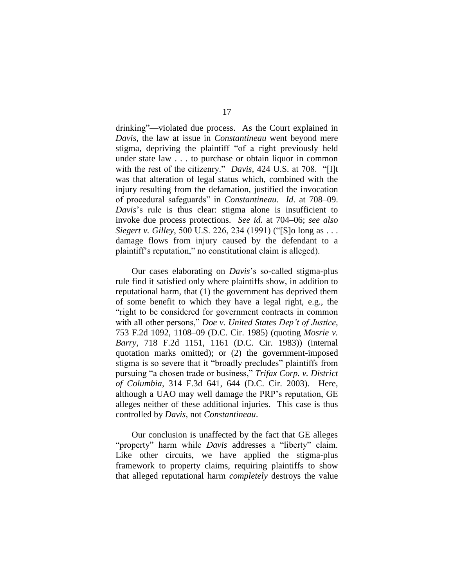drinking"—violated due process. As the Court explained in *Davis*, the law at issue in *Constantineau* went beyond mere stigma, depriving the plaintiff "of a right previously held under state law . . . to purchase or obtain liquor in common with the rest of the citizenry." *Davis*, 424 U.S. at 708. "[I]t was that alteration of legal status which, combined with the injury resulting from the defamation, justified the invocation of procedural safeguards‖ in *Constantineau*. *Id*. at 708–09. *Davis*'s rule is thus clear: stigma alone is insufficient to invoke due process protections. *See id.* at 704–06; *see also Siegert v. Gilley, 500 U.S. 226, 234 (1991) ("[S]o long as ...* damage flows from injury caused by the defendant to a plaintiff's reputation," no constitutional claim is alleged).

Our cases elaborating on *Davis*'s so-called stigma-plus rule find it satisfied only where plaintiffs show, in addition to reputational harm, that (1) the government has deprived them of some benefit to which they have a legal right, e.g., the "right to be considered for government contracts in common with all other persons," *Doe v. United States Dep't of Justice*, 753 F.2d 1092, 1108–09 (D.C. Cir. 1985) (quoting *Mosrie v. Barry*, 718 F.2d 1151, 1161 (D.C. Cir. 1983)) (internal quotation marks omitted); or (2) the government-imposed stigma is so severe that it "broadly precludes" plaintiffs from pursuing "a chosen trade or business," *Trifax Corp. v. District of Columbia*, 314 F.3d 641, 644 (D.C. Cir. 2003). Here, although a UAO may well damage the PRP's reputation, GE alleges neither of these additional injuries. This case is thus controlled by *Davis*, not *Constantineau*.

Our conclusion is unaffected by the fact that GE alleges "property" harm while *Davis* addresses a "liberty" claim. Like other circuits, we have applied the stigma-plus framework to property claims, requiring plaintiffs to show that alleged reputational harm *completely* destroys the value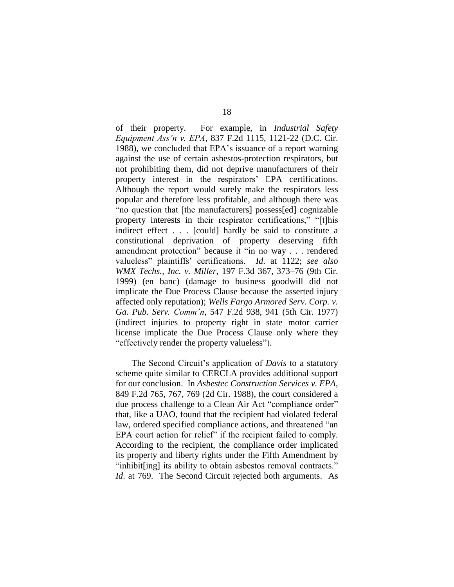of their property. For example, in *Industrial Safety Equipment Ass'n v. EPA*, 837 F.2d 1115, 1121-22 (D.C. Cir. 1988), we concluded that EPA's issuance of a report warning against the use of certain asbestos-protection respirators, but not prohibiting them, did not deprive manufacturers of their property interest in the respirators' EPA certifications. Although the report would surely make the respirators less popular and therefore less profitable, and although there was "no question that [the manufacturers] possess[ed] cognizable property interests in their respirator certifications," "[t]his indirect effect . . . [could] hardly be said to constitute a constitutional deprivation of property deserving fifth amendment protection" because it "in no way . . . rendered valueless" plaintiffs' certifications. *Id.* at 1122; see also *WMX Techs., Inc. v. Miller*, 197 F.3d 367, 373–76 (9th Cir. 1999) (en banc) (damage to business goodwill did not implicate the Due Process Clause because the asserted injury affected only reputation); *Wells Fargo Armored Serv. Corp. v. Ga. Pub. Serv. Comm'n*, 547 F.2d 938, 941 (5th Cir. 1977) (indirect injuries to property right in state motor carrier license implicate the Due Process Clause only where they " effectively render the property valueless".

The Second Circuit's application of *Davis* to a statutory scheme quite similar to CERCLA provides additional support for our conclusion. In *Asbestec Construction Services v. EPA*, 849 F.2d 765, 767, 769 (2d Cir. 1988), the court considered a due process challenge to a Clean Air Act "compliance order" that, like a UAO, found that the recipient had violated federal law, ordered specified compliance actions, and threatened "an EPA court action for relief" if the recipient failed to comply. According to the recipient, the compliance order implicated its property and liberty rights under the Fifth Amendment by "inhibit [ing] its ability to obtain as bestos removal contracts." *Id.* at 769. The Second Circuit rejected both arguments. As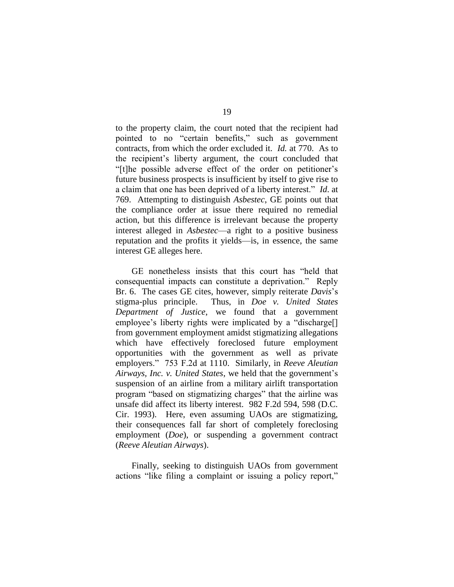to the property claim, the court noted that the recipient had pointed to no "certain benefits," such as government contracts, from which the order excluded it. *Id.* at 770. As to the recipient's liberty argument, the court concluded that ―[t]he possible adverse effect of the order on petitioner's future business prospects is insufficient by itself to give rise to a claim that one has been deprived of a liberty interest." *Id.* at 769. Attempting to distinguish *Asbestec*, GE points out that the compliance order at issue there required no remedial action, but this difference is irrelevant because the property interest alleged in *Asbestec*—a right to a positive business reputation and the profits it yields—is, in essence, the same interest GE alleges here.

GE nonetheless insists that this court has "held that consequential impacts can constitute a deprivation." Reply Br. 6. The cases GE cites, however, simply reiterate *Davis*'s stigma-plus principle. Thus, in *Doe v. United States Department of Justice*, we found that a government employee's liberty rights were implicated by a "discharge $[]$ from government employment amidst stigmatizing allegations which have effectively foreclosed future employment opportunities with the government as well as private employers.‖ 753 F.2d at 1110. Similarly, in *Reeve Aleutian Airways, Inc. v. United States*, we held that the government's suspension of an airline from a military airlift transportation program "based on stigmatizing charges" that the airline was unsafe did affect its liberty interest. 982 F.2d 594, 598 (D.C. Cir. 1993). Here, even assuming UAOs are stigmatizing, their consequences fall far short of completely foreclosing employment (*Doe*), or suspending a government contract (*Reeve Aleutian Airways*).

Finally, seeking to distinguish UAOs from government actions "like filing a complaint or issuing a policy report,"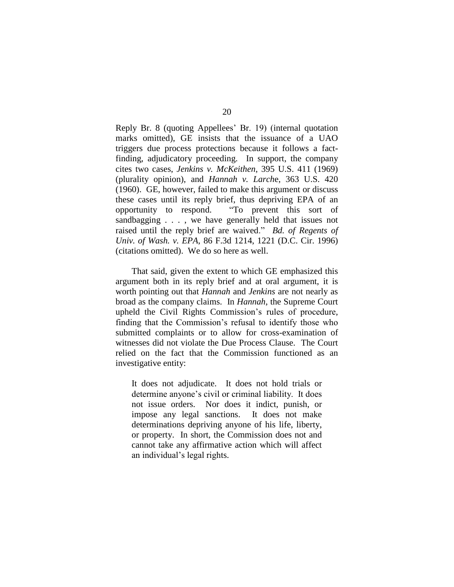Reply Br. 8 (quoting Appellees' Br. 19) (internal quotation marks omitted), GE insists that the issuance of a UAO triggers due process protections because it follows a factfinding, adjudicatory proceeding. In support, the company cites two cases, *Jenkins v. McKeithen*, 395 U.S. 411 (1969) (plurality opinion), and *Hannah v. Larch*e, 363 U.S. 420 (1960). GE, however, failed to make this argument or discuss these cases until its reply brief, thus depriving EPA of an opportunity to respond. <br>
"To prevent this sort of sandbagging . . . , we have generally held that issues not raised until the reply brief are waived." *Bd. of Regents of Univ. of Wash. v. EPA*, 86 F.3d 1214, 1221 (D.C. Cir. 1996) (citations omitted). We do so here as well.

That said, given the extent to which GE emphasized this argument both in its reply brief and at oral argument, it is worth pointing out that *Hannah* and *Jenkins* are not nearly as broad as the company claims. In *Hannah*, the Supreme Court upheld the Civil Rights Commission's rules of procedure, finding that the Commission's refusal to identify those who submitted complaints or to allow for cross-examination of witnesses did not violate the Due Process Clause. The Court relied on the fact that the Commission functioned as an investigative entity:

It does not adjudicate. It does not hold trials or determine anyone's civil or criminal liability. It does not issue orders. Nor does it indict, punish, or impose any legal sanctions. It does not make determinations depriving anyone of his life, liberty, or property. In short, the Commission does not and cannot take any affirmative action which will affect an individual's legal rights.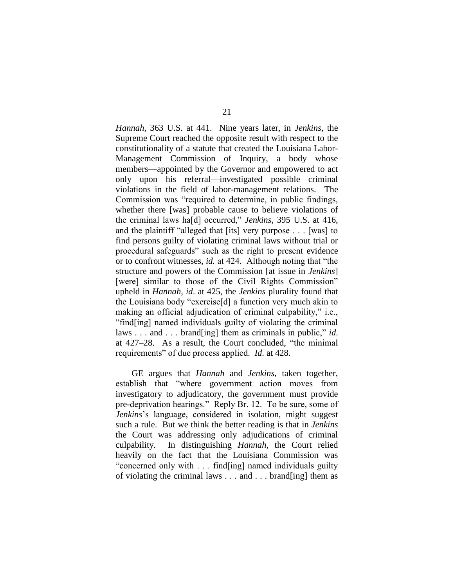*Hannah*, 363 U.S. at 441. Nine years later, in *Jenkins*, the Supreme Court reached the opposite result with respect to the constitutionality of a statute that created the Louisiana Labor-Management Commission of Inquiry, a body whose members—appointed by the Governor and empowered to act only upon his referral—investigated possible criminal violations in the field of labor-management relations. The Commission was "required to determine, in public findings, whether there [was] probable cause to believe violations of the criminal laws ha[d] occurred," *Jenkins*, 395 U.S. at 416, and the plaintiff "alleged that [its] very purpose  $\dots$  [was] to find persons guilty of violating criminal laws without trial or procedural safeguards‖ such as the right to present evidence or to confront witnesses, *id.* at 424. Although noting that "the structure and powers of the Commission [at issue in *Jenkins*] [were] similar to those of the Civil Rights Commission" upheld in *Hannah*, *id*. at 425, the *Jenkins* plurality found that the Louisiana body "exercise[d] a function very much akin to making an official adjudication of criminal culpability," i.e., ―find[ing] named individuals guilty of violating the criminal laws . . . and . . . brand [ing] them as criminals in public," *id.* at  $427-28$ . As a result, the Court concluded, "the minimal" requirements" of due process applied. *Id.* at 428.

GE argues that *Hannah* and *Jenkins*, taken together, establish that "where government action moves from investigatory to adjudicatory, the government must provide pre-deprivation hearings.‖ Reply Br. 12. To be sure, some of *Jenkins*'s language, considered in isolation, might suggest such a rule. But we think the better reading is that in *Jenkins* the Court was addressing only adjudications of criminal culpability. In distinguishing *Hannah*, the Court relied heavily on the fact that the Louisiana Commission was "concerned only with . . . find [ing] named individuals guilty of violating the criminal laws . . . and . . . brand[ing] them as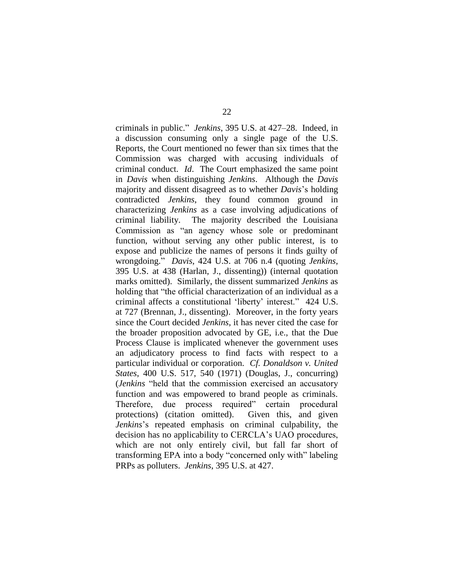criminals in public.‖ *Jenkins*, 395 U.S. at 427–28. Indeed, in a discussion consuming only a single page of the U.S. Reports, the Court mentioned no fewer than six times that the Commission was charged with accusing individuals of criminal conduct. *Id*. The Court emphasized the same point in *Davis* when distinguishing *Jenkins*. Although the *Davis*  majority and dissent disagreed as to whether *Davis*'s holding contradicted *Jenkins*, they found common ground in characterizing *Jenkins* as a case involving adjudications of criminal liability. The majority described the Louisiana Commission as "an agency whose sole or predominant function, without serving any other public interest, is to expose and publicize the names of persons it finds guilty of wrongdoing.‖ *Davis*, 424 U.S. at 706 n.4 (quoting *Jenkins*, 395 U.S. at 438 (Harlan, J., dissenting)) (internal quotation marks omitted). Similarly, the dissent summarized *Jenkins* as holding that "the official characterization of an individual as a criminal affects a constitutional 'liberty' interest." 424 U.S. at 727 (Brennan, J., dissenting). Moreover, in the forty years since the Court decided *Jenkins*, it has never cited the case for the broader proposition advocated by GE, i.e., that the Due Process Clause is implicated whenever the government uses an adjudicatory process to find facts with respect to a particular individual or corporation. *Cf. Donaldson v. United States*, 400 U.S. 517, 540 (1971) (Douglas, J., concurring) (*Jenkins* "held that the commission exercised an accusatory function and was empowered to brand people as criminals. Therefore, due process required" certain procedural protections) (citation omitted). Given this, and given *Jenkins*'s repeated emphasis on criminal culpability, the decision has no applicability to CERCLA's UAO procedures, which are not only entirely civil, but fall far short of transforming EPA into a body "concerned only with" labeling PRPs as polluters. *Jenkins*, 395 U.S. at 427.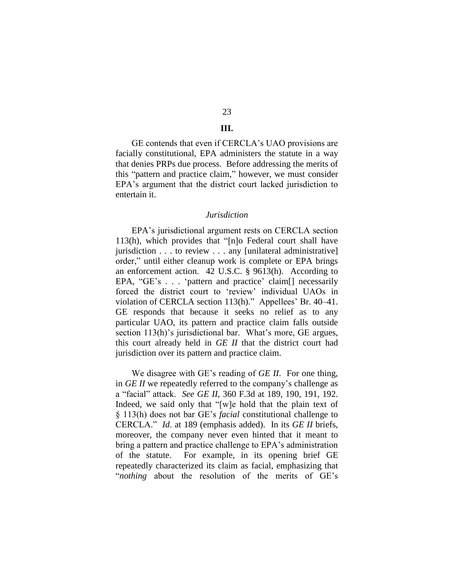# 23

# **III.**

GE contends that even if CERCLA's UAO provisions are facially constitutional, EPA administers the statute in a way that denies PRPs due process. Before addressing the merits of this "pattern and practice claim," however, we must consider EPA's argument that the district court lacked jurisdiction to entertain it.

### *Jurisdiction*

EPA's jurisdictional argument rests on CERCLA section  $113(h)$ , which provides that "[n]o Federal court shall have jurisdiction . . . to review . . . any [unilateral administrative] order," until either cleanup work is complete or EPA brings an enforcement action. 42 U.S.C. § 9613(h). According to EPA, " $GE$ 's . . . 'pattern and practice' claim<sup>[]</sup> necessarily forced the district court to 'review' individual UAOs in violation of CERCLA section 113(h)." Appellees' Br. 40–41. GE responds that because it seeks no relief as to any particular UAO, its pattern and practice claim falls outside section 113(h)'s jurisdictional bar. What's more, GE argues, this court already held in *GE II* that the district court had jurisdiction over its pattern and practice claim.

We disagree with GE's reading of *GE II*. For one thing, in *GE II* we repeatedly referred to the company's challenge as a ―facial‖ attack. *See GE II*, 360 F.3d at 189, 190, 191, 192. Indeed, we said only that "[w]e hold that the plain text of § 113(h) does not bar GE's *facial* constitutional challenge to CERCLA.‖ *Id*. at 189 (emphasis added). In its *GE II* briefs, moreover, the company never even hinted that it meant to bring a pattern and practice challenge to EPA's administration of the statute. For example, in its opening brief GE repeatedly characterized its claim as facial, emphasizing that "*nothing* about the resolution of the merits of GE's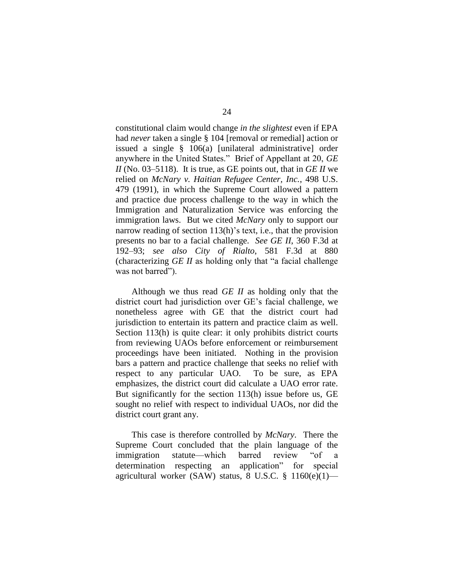constitutional claim would change *in the slightest* even if EPA had *never* taken a single § 104 [removal or remedial] action or issued a single § 106(a) [unilateral administrative] order anywhere in the United States." Brief of Appellant at 20, *GE II* (No. 03–5118). It is true, as GE points out, that in *GE II* we relied on *McNary v. Haitian Refugee Center, Inc.*, 498 U.S. 479 (1991), in which the Supreme Court allowed a pattern and practice due process challenge to the way in which the Immigration and Naturalization Service was enforcing the immigration laws. But we cited *McNary* only to support our narrow reading of section 113(h)'s text, i.e., that the provision presents no bar to a facial challenge. *See GE II*, 360 F.3d at 192–93; *see also City of Rialto*, 581 F.3d at 880 (characterizing  $GE$  *II* as holding only that "a facial challenge") was not barred").

Although we thus read *GE II* as holding only that the district court had jurisdiction over GE's facial challenge, we nonetheless agree with GE that the district court had jurisdiction to entertain its pattern and practice claim as well. Section 113(h) is quite clear: it only prohibits district courts from reviewing UAOs before enforcement or reimbursement proceedings have been initiated. Nothing in the provision bars a pattern and practice challenge that seeks no relief with respect to any particular UAO. To be sure, as EPA emphasizes, the district court did calculate a UAO error rate. But significantly for the section 113(h) issue before us, GE sought no relief with respect to individual UAOs, nor did the district court grant any.

This case is therefore controlled by *McNary*. There the Supreme Court concluded that the plain language of the immigration statute—which barred review "of a determination respecting an application" for special agricultural worker (SAW) status, 8 U.S.C. § 1160(e)(1)—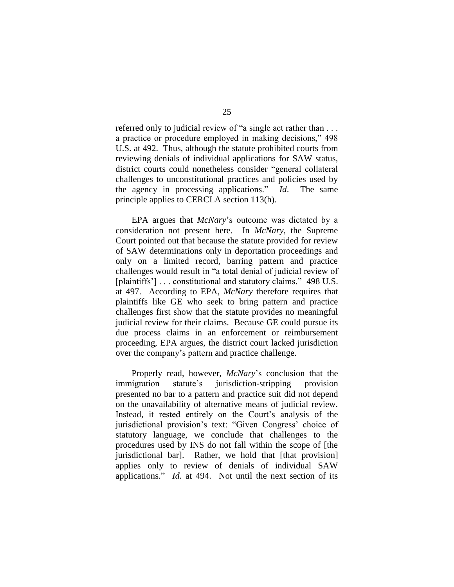referred only to judicial review of "a single act rather than . . . a practice or procedure employed in making decisions," 498 U.S. at 492. Thus, although the statute prohibited courts from reviewing denials of individual applications for SAW status, district courts could nonetheless consider "general collateral challenges to unconstitutional practices and policies used by the agency in processing applications." *Id*. The same principle applies to CERCLA section 113(h).

EPA argues that *McNary*'s outcome was dictated by a consideration not present here. In *McNary*, the Supreme Court pointed out that because the statute provided for review of SAW determinations only in deportation proceedings and only on a limited record, barring pattern and practice challenges would result in "a total denial of judicial review of [plaintiffs'] . . . constitutional and statutory claims." 498 U.S. at 497. According to EPA, *McNary* therefore requires that plaintiffs like GE who seek to bring pattern and practice challenges first show that the statute provides no meaningful judicial review for their claims. Because GE could pursue its due process claims in an enforcement or reimbursement proceeding, EPA argues, the district court lacked jurisdiction over the company's pattern and practice challenge.

Properly read, however, *McNary*'s conclusion that the immigration statute's jurisdiction-stripping provision presented no bar to a pattern and practice suit did not depend on the unavailability of alternative means of judicial review. Instead, it rested entirely on the Court's analysis of the jurisdictional provision's text: "Given Congress' choice of statutory language, we conclude that challenges to the procedures used by INS do not fall within the scope of [the jurisdictional bar]. Rather, we hold that [that provision] applies only to review of denials of individual SAW applications." *Id.* at 494. Not until the next section of its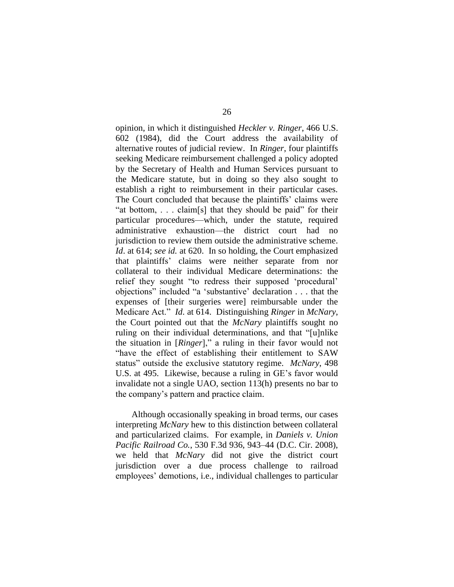opinion, in which it distinguished *Heckler v. Ringer*, 466 U.S. 602 (1984), did the Court address the availability of alternative routes of judicial review. In *Ringer*, four plaintiffs seeking Medicare reimbursement challenged a policy adopted by the Secretary of Health and Human Services pursuant to the Medicare statute, but in doing so they also sought to establish a right to reimbursement in their particular cases. The Court concluded that because the plaintiffs' claims were "at bottom,  $\ldots$  claim[s] that they should be paid" for their particular procedures—which, under the statute, required administrative exhaustion—the district court had no jurisdiction to review them outside the administrative scheme. *Id*. at 614; *see id.* at 620. In so holding, the Court emphasized that plaintiffs' claims were neither separate from nor collateral to their individual Medicare determinations: the relief they sought "to redress their supposed 'procedural' objections" included "a 'substantive' declaration . . . that the expenses of [their surgeries were] reimbursable under the Medicare Act.‖ *Id*. at 614. Distinguishing *Ringer* in *McNary*, the Court pointed out that the *McNary* plaintiffs sought no ruling on their individual determinations, and that "[u]nlike the situation in [*Ringer*]," a ruling in their favor would not "have the effect of establishing their entitlement to SAW status" outside the exclusive statutory regime. *McNary*, 498 U.S. at 495. Likewise, because a ruling in GE's favor would invalidate not a single UAO, section 113(h) presents no bar to the company's pattern and practice claim.

Although occasionally speaking in broad terms, our cases interpreting *McNary* hew to this distinction between collateral and particularized claims. For example, in *Daniels v. Union Pacific Railroad Co.*, 530 F.3d 936, 943–44 (D.C. Cir. 2008), we held that *McNary* did not give the district court jurisdiction over a due process challenge to railroad employees' demotions, i.e., individual challenges to particular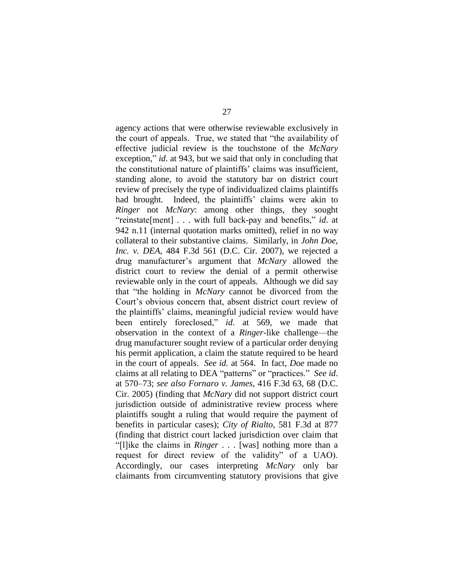agency actions that were otherwise reviewable exclusively in the court of appeals. True, we stated that "the availability of effective judicial review is the touchstone of the *McNary* exception," *id*. at 943, but we said that only in concluding that the constitutional nature of plaintiffs' claims was insufficient, standing alone, to avoid the statutory bar on district court review of precisely the type of individualized claims plaintiffs had brought. Indeed, the plaintiffs' claims were akin to *Ringer* not *McNary*: among other things, they sought "reinstate[ment] . . . with full back-pay and benefits," *id*. at 942 n.11 (internal quotation marks omitted), relief in no way collateral to their substantive claims. Similarly, in *John Doe, Inc. v. DEA*, 484 F.3d 561 (D.C. Cir. 2007), we rejected a drug manufacturer's argument that *McNary* allowed the district court to review the denial of a permit otherwise reviewable only in the court of appeals. Although we did say that "the holding in *McNary* cannot be divorced from the Court's obvious concern that, absent district court review of the plaintiffs' claims, meaningful judicial review would have been entirely foreclosed," *id*. at 569, we made that observation in the context of a *Ringer*-like challenge—the drug manufacturer sought review of a particular order denying his permit application, a claim the statute required to be heard in the court of appeals. *See id.* at 564. In fact, *Doe* made no claims at all relating to DEA "patterns" or "practices." *See id.* at 570–73; *see also Fornaro v. James*, 416 F.3d 63, 68 (D.C. Cir. 2005) (finding that *McNary* did not support district court jurisdiction outside of administrative review process where plaintiffs sought a ruling that would require the payment of benefits in particular cases); *City of Rialto*, 581 F.3d at 877 (finding that district court lacked jurisdiction over claim that ―[l]ike the claims in *Ringer* . . . [was] nothing more than a request for direct review of the validity" of a UAO). Accordingly, our cases interpreting *McNary* only bar claimants from circumventing statutory provisions that give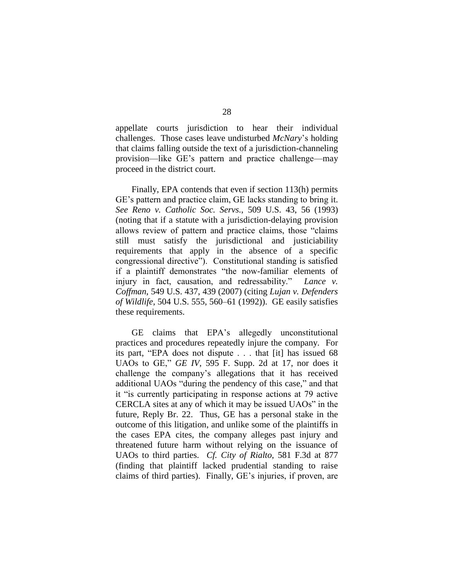appellate courts jurisdiction to hear their individual challenges. Those cases leave undisturbed *McNary*'s holding that claims falling outside the text of a jurisdiction-channeling provision—like GE's pattern and practice challenge—may proceed in the district court.

Finally, EPA contends that even if section 113(h) permits GE's pattern and practice claim, GE lacks standing to bring it. *See Reno v. Catholic Soc. Servs.*, 509 U.S. 43, 56 (1993) (noting that if a statute with a jurisdiction-delaying provision allows review of pattern and practice claims, those "claims" still must satisfy the jurisdictional and justiciability requirements that apply in the absence of a specific congressional directive"). Constitutional standing is satisfied if a plaintiff demonstrates "the now-familiar elements of injury in fact, causation, and redressability." *Lance v. Coffman*, 549 U.S. 437, 439 (2007) (citing *Lujan v. Defenders of Wildlife*, 504 U.S. 555, 560–61 (1992)). GE easily satisfies these requirements.

GE claims that EPA's allegedly unconstitutional practices and procedures repeatedly injure the company. For its part, "EPA does not dispute  $\ldots$  that [it] has issued 68 UAOs to GE," *GE IV*, 595 F. Supp. 2d at 17, nor does it challenge the company's allegations that it has received additional UAOs "during the pendency of this case," and that it "is currently participating in response actions at 79 active CERCLA sites at any of which it may be issued UAOs" in the future, Reply Br. 22. Thus, GE has a personal stake in the outcome of this litigation, and unlike some of the plaintiffs in the cases EPA cites, the company alleges past injury and threatened future harm without relying on the issuance of UAOs to third parties. *Cf. City of Rialto*, 581 F.3d at 877 (finding that plaintiff lacked prudential standing to raise claims of third parties). Finally, GE's injuries, if proven, are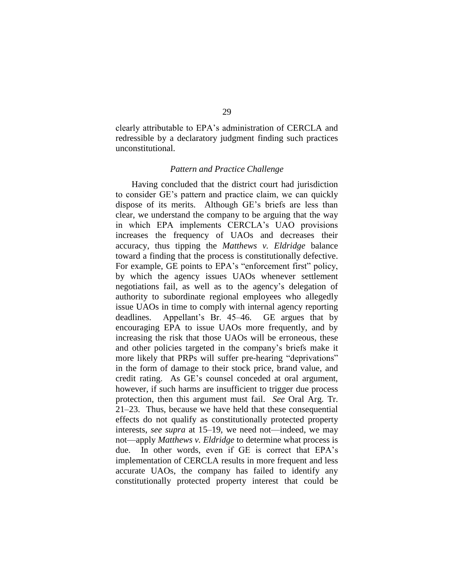clearly attributable to EPA's administration of CERCLA and redressible by a declaratory judgment finding such practices unconstitutional.

### *Pattern and Practice Challenge*

Having concluded that the district court had jurisdiction to consider GE's pattern and practice claim, we can quickly dispose of its merits. Although GE's briefs are less than clear, we understand the company to be arguing that the way in which EPA implements CERCLA's UAO provisions increases the frequency of UAOs and decreases their accuracy, thus tipping the *Matthews v. Eldridge* balance toward a finding that the process is constitutionally defective. For example, GE points to EPA's "enforcement first" policy, by which the agency issues UAOs whenever settlement negotiations fail, as well as to the agency's delegation of authority to subordinate regional employees who allegedly issue UAOs in time to comply with internal agency reporting deadlines. Appellant's Br. 45–46. GE argues that by encouraging EPA to issue UAOs more frequently, and by increasing the risk that those UAOs will be erroneous, these and other policies targeted in the company's briefs make it more likely that PRPs will suffer pre-hearing "deprivations" in the form of damage to their stock price, brand value, and credit rating. As GE's counsel conceded at oral argument, however, if such harms are insufficient to trigger due process protection, then this argument must fail. *See* Oral Arg. Tr. 21–23. Thus, because we have held that these consequential effects do not qualify as constitutionally protected property interests, *see supra* at 15–19, we need not—indeed, we may not—apply *Matthews v. Eldridge* to determine what process is due. In other words, even if GE is correct that EPA's implementation of CERCLA results in more frequent and less accurate UAOs, the company has failed to identify any constitutionally protected property interest that could be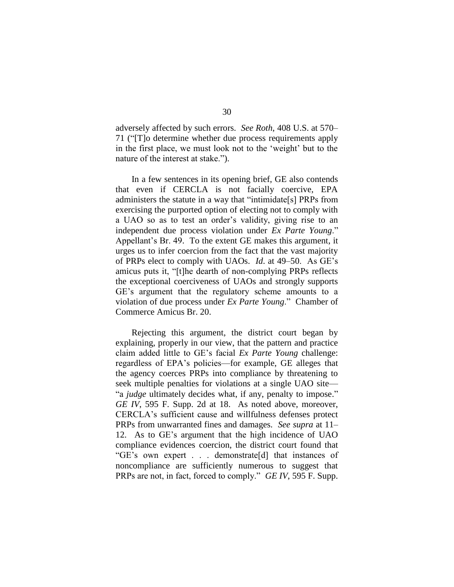adversely affected by such errors. *See Roth*, 408 U.S. at 570– 71 ("T]o determine whether due process requirements apply in the first place, we must look not to the 'weight' but to the nature of the interest at stake.").

In a few sentences in its opening brief, GE also contends that even if CERCLA is not facially coercive, EPA administers the statute in a way that "intimidate[s] PRPs from exercising the purported option of electing not to comply with a UAO so as to test an order's validity, giving rise to an independent due process violation under *Ex Parte Young*." Appellant's Br. 49. To the extent GE makes this argument, it urges us to infer coercion from the fact that the vast majority of PRPs elect to comply with UAOs. *Id*. at 49–50. As GE's amicus puts it, "[t]he dearth of non-complying PRPs reflects the exceptional coerciveness of UAOs and strongly supports GE's argument that the regulatory scheme amounts to a violation of due process under *Ex Parte Young*.‖ Chamber of Commerce Amicus Br. 20.

Rejecting this argument, the district court began by explaining, properly in our view, that the pattern and practice claim added little to GE's facial *Ex Parte Young* challenge: regardless of EPA's policies—for example, GE alleges that the agency coerces PRPs into compliance by threatening to seek multiple penalties for violations at a single UAO site— "a *judge* ultimately decides what, if any, penalty to impose." *GE IV*, 595 F. Supp. 2d at 18. As noted above, moreover, CERCLA's sufficient cause and willfulness defenses protect PRPs from unwarranted fines and damages. *See supra* at 11– 12. As to GE's argument that the high incidence of UAO compliance evidences coercion, the district court found that ―GE's own expert . . . demonstrate[d] that instances of noncompliance are sufficiently numerous to suggest that PRPs are not, in fact, forced to comply." *GE IV*, 595 F. Supp.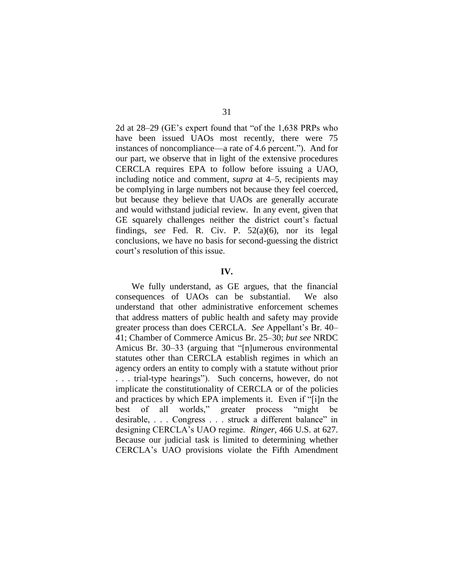2d at  $28-29$  (GE's expert found that "of the 1,638 PRPs who have been issued UAOs most recently, there were 75 instances of noncompliance—a rate of 4.6 percent."). And for our part, we observe that in light of the extensive procedures CERCLA requires EPA to follow before issuing a UAO, including notice and comment, *supra* at 4–5, recipients may be complying in large numbers not because they feel coerced, but because they believe that UAOs are generally accurate and would withstand judicial review. In any event, given that GE squarely challenges neither the district court's factual findings, *see* Fed. R. Civ. P. 52(a)(6), nor its legal conclusions, we have no basis for second-guessing the district court's resolution of this issue.

### **IV.**

We fully understand, as GE argues, that the financial consequences of UAOs can be substantial. We also understand that other administrative enforcement schemes that address matters of public health and safety may provide greater process than does CERCLA. *See* Appellant's Br. 40– 41; Chamber of Commerce Amicus Br. 25–30; *but see* NRDC Amicus Br. 30–33 (arguing that "[n]umerous environmental statutes other than CERCLA establish regimes in which an agency orders an entity to comply with a statute without prior ... trial-type hearings"). Such concerns, however, do not implicate the constitutionality of CERCLA or of the policies and practices by which EPA implements it. Even if "[i]n the best of all worlds," greater process "might be desirable, . . . Congress . . . struck a different balance" in designing CERCLA's UAO regime. *Ringer*, 466 U.S. at 627. Because our judicial task is limited to determining whether CERCLA's UAO provisions violate the Fifth Amendment